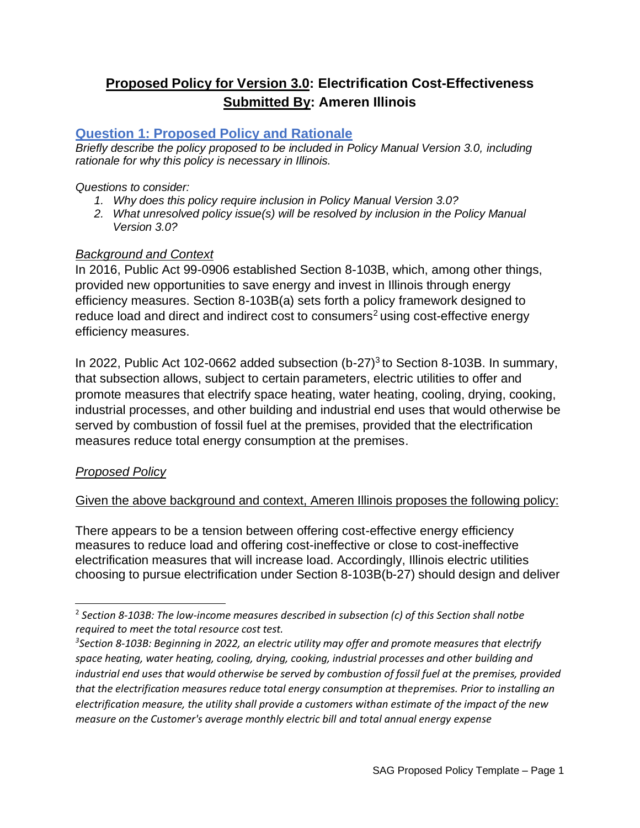# **Proposed Policy for Version 3.0: Electrification Cost-Effectiveness Submitted By: Ameren Illinois**

## **Question 1: Proposed Policy and Rationale**

*Briefly describe the policy proposed to be included in Policy Manual Version 3.0, including rationale for why this policy is necessary in Illinois.*

*Questions to consider:*

- *1. Why does this policy require inclusion in Policy Manual Version 3.0?*
- *2. What unresolved policy issue(s) will be resolved by inclusion in the Policy Manual Version 3.0?*

## *Background and Context*

In 2016, Public Act 99-0906 established Section 8-103B, which, among other things, provided new opportunities to save energy and invest in Illinois through energy efficiency measures. Section 8-103B(a) sets forth a policy framework designed to reduce load and direct and indirect cost to consumers<sup>2</sup> using cost-effective energy efficiency measures.

In 2022, Public Act 102-0662 added subsection  $(b-27)^3$  to Section 8-103B. In summary, that subsection allows, subject to certain parameters, electric utilities to offer and promote measures that electrify space heating, water heating, cooling, drying, cooking, industrial processes, and other building and industrial end uses that would otherwise be served by combustion of fossil fuel at the premises, provided that the electrification measures reduce total energy consumption at the premises.

## *Proposed Policy*

## Given the above background and context, Ameren Illinois proposes the following policy:

There appears to be a tension between offering cost-effective energy efficiency measures to reduce load and offering cost-ineffective or close to cost-ineffective electrification measures that will increase load. Accordingly, Illinois electric utilities choosing to pursue electrification under Section 8-103B(b-27) should design and deliver

<sup>2</sup> *Section 8-103B: The low-income measures described in subsection (c) of this Section shall notbe required to meet the total resource cost test.*

*<sup>3</sup> Section 8-103B: Beginning in 2022, an electric utility may offer and promote measures that electrify space heating, water heating, cooling, drying, cooking, industrial processes and other building and industrial end uses that would otherwise be served by combustion of fossil fuel at the premises, provided that the electrification measures reduce total energy consumption at thepremises. Prior to installing an electrification measure, the utility shall provide a customers withan estimate of the impact of the new measure on the Customer's average monthly electric bill and total annual energy expense*